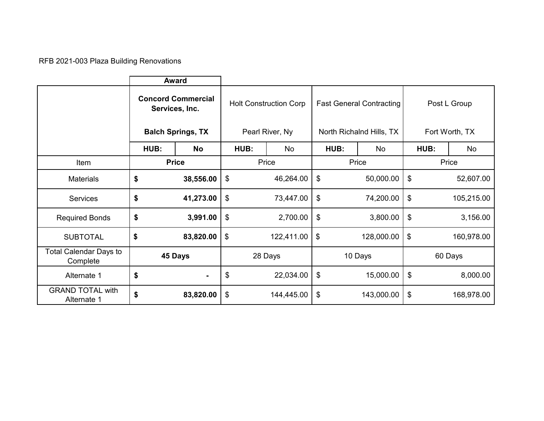RFB 2021-003 Plaza Building Renovations

|                                           | <b>Award</b>                                                            |                |                                                  |            |                                                             |            |                                |            |
|-------------------------------------------|-------------------------------------------------------------------------|----------------|--------------------------------------------------|------------|-------------------------------------------------------------|------------|--------------------------------|------------|
|                                           | <b>Concord Commercial</b><br>Services, Inc.<br><b>Balch Springs, TX</b> |                | <b>Holt Construction Corp</b><br>Pearl River, Ny |            | <b>Fast General Contracting</b><br>North Richalnd Hills, TX |            | Post L Group<br>Fort Worth, TX |            |
|                                           | HUB:                                                                    | <b>No</b>      | HUB:                                             | No         | HUB:                                                        | No.        | HUB:                           | No         |
| Item                                      | <b>Price</b>                                                            |                | Price                                            |            | Price                                                       |            | Price                          |            |
| <b>Materials</b>                          | \$                                                                      | 38,556.00      | \$                                               | 46,264.00  | \$                                                          | 50,000.00  | \$                             | 52,607.00  |
| <b>Services</b>                           | \$                                                                      | 41,273.00      | \$                                               | 73,447.00  | \$                                                          | 74,200.00  | \$                             | 105,215.00 |
| <b>Required Bonds</b>                     | \$                                                                      | 3,991.00       | \$                                               | 2,700.00   | \$                                                          | 3,800.00   | \$                             | 3,156.00   |
| <b>SUBTOTAL</b>                           | \$                                                                      | 83,820.00      | \$                                               | 122,411.00 | \$                                                          | 128,000.00 | \$                             | 160,978.00 |
| <b>Total Calendar Days to</b><br>Complete | 45 Days                                                                 |                | 28 Days                                          |            | 10 Days                                                     |            | 60 Days                        |            |
| Alternate 1                               | \$                                                                      | $\blacksquare$ | \$                                               | 22,034.00  | \$                                                          | 15,000.00  | \$                             | 8,000.00   |
| <b>GRAND TOTAL with</b><br>Alternate 1    | \$                                                                      | 83,820.00      | \$                                               | 144,445.00 | \$                                                          | 143,000.00 | \$                             | 168,978.00 |